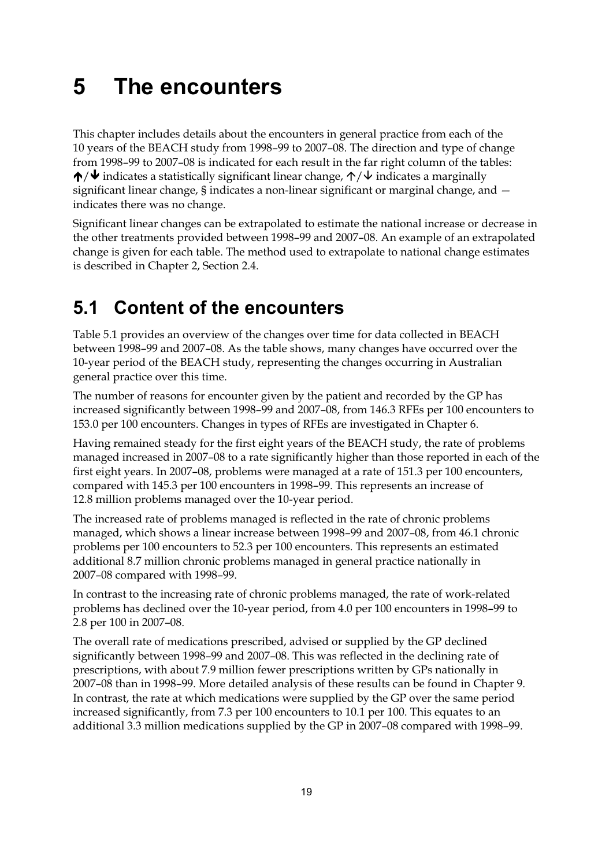## **5 The encounters**

This chapter includes details about the encounters in general practice from each of the 10 years of the BEACH study from 1998–99 to 2007–08. The direction and type of change from 1998–99 to 2007–08 is indicated for each result in the far right column of the tables:  $\bigwedge/\bigvee$  indicates a statistically significant linear change,  $\bigwedge/\bigvee$  indicates a marginally significant linear change, § indicates a non-linear significant or marginal change, and indicates there was no change.

Significant linear changes can be extrapolated to estimate the national increase or decrease in the other treatments provided between 1998–99 and 2007–08. An example of an extrapolated change is given for each table. The method used to extrapolate to national change estimates is described in Chapter 2, Section 2.4.

## **5.1 Content of the encounters**

Table 5.1 provides an overview of the changes over time for data collected in BEACH between 1998–99 and 2007–08. As the table shows, many changes have occurred over the 10-year period of the BEACH study, representing the changes occurring in Australian general practice over this time.

The number of reasons for encounter given by the patient and recorded by the GP has increased significantly between 1998–99 and 2007–08, from 146.3 RFEs per 100 encounters to 153.0 per 100 encounters. Changes in types of RFEs are investigated in Chapter 6.

Having remained steady for the first eight years of the BEACH study, the rate of problems managed increased in 2007–08 to a rate significantly higher than those reported in each of the first eight years. In 2007–08, problems were managed at a rate of 151.3 per 100 encounters, compared with 145.3 per 100 encounters in 1998–99. This represents an increase of 12.8 million problems managed over the 10-year period.

The increased rate of problems managed is reflected in the rate of chronic problems managed, which shows a linear increase between 1998–99 and 2007–08, from 46.1 chronic problems per 100 encounters to 52.3 per 100 encounters. This represents an estimated additional 8.7 million chronic problems managed in general practice nationally in 2007–08 compared with 1998–99.

In contrast to the increasing rate of chronic problems managed, the rate of work-related problems has declined over the 10-year period, from 4.0 per 100 encounters in 1998–99 to 2.8 per 100 in 2007–08.

The overall rate of medications prescribed, advised or supplied by the GP declined significantly between 1998–99 and 2007–08. This was reflected in the declining rate of prescriptions, with about 7.9 million fewer prescriptions written by GPs nationally in 2007–08 than in 1998–99. More detailed analysis of these results can be found in Chapter 9. In contrast, the rate at which medications were supplied by the GP over the same period increased significantly, from 7.3 per 100 encounters to 10.1 per 100. This equates to an additional 3.3 million medications supplied by the GP in 2007–08 compared with 1998–99.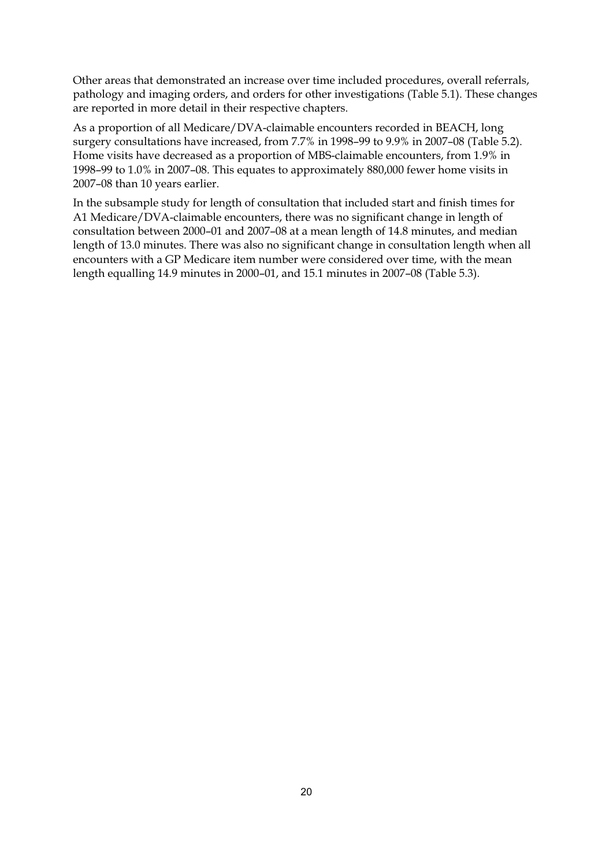Other areas that demonstrated an increase over time included procedures, overall referrals, pathology and imaging orders, and orders for other investigations (Table 5.1). These changes are reported in more detail in their respective chapters.

As a proportion of all Medicare/DVA-claimable encounters recorded in BEACH, long surgery consultations have increased, from 7.7% in 1998–99 to 9.9% in 2007–08 (Table 5.2). Home visits have decreased as a proportion of MBS-claimable encounters, from 1.9% in 1998–99 to 1.0% in 2007–08*.* This equates to approximately 880,000 fewer home visits in 2007–08 than 10 years earlier.

In the subsample study for length of consultation that included start and finish times for A1 Medicare/DVA-claimable encounters, there was no significant change in length of consultation between 2000–01 and 2007–08 at a mean length of 14.8 minutes, and median length of 13.0 minutes. There was also no significant change in consultation length when all encounters with a GP Medicare item number were considered over time, with the mean length equalling 14.9 minutes in 2000–01, and 15.1 minutes in 2007–08 (Table 5.3).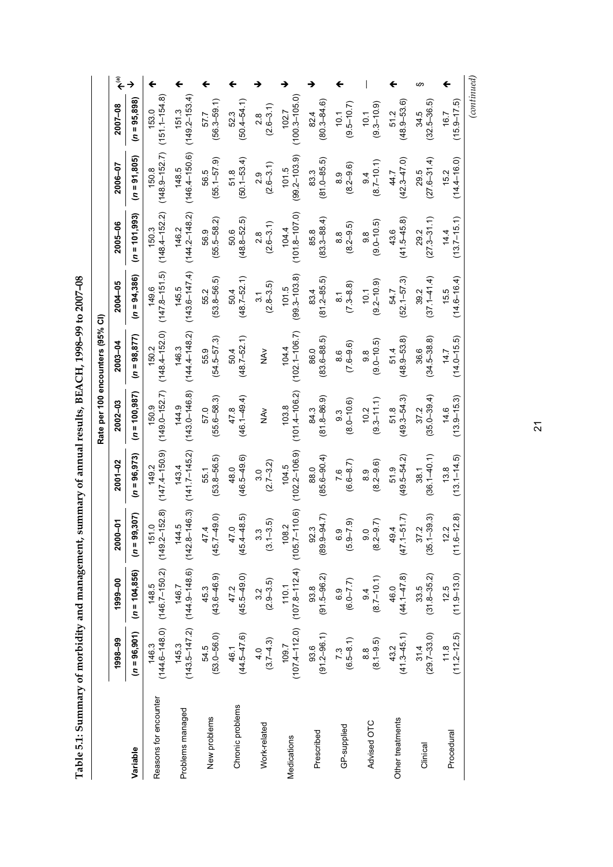Table 5.1: Summary of morbidity and management, summary of annual results, BEACH, 1998-99 to 2007-08 **Table 5.1: Summary of morbidity and management, summary of annual results, BEACH, 1998–99 to 2007–08** 

|                       |                         |                                                                |                              |                            |                                    | Rate per 100 encounters (95% CI) |                                 |                                 |                                 |                            |                                                              |
|-----------------------|-------------------------|----------------------------------------------------------------|------------------------------|----------------------------|------------------------------------|----------------------------------|---------------------------------|---------------------------------|---------------------------------|----------------------------|--------------------------------------------------------------|
|                       | 1998-99                 | 1999-00                                                        | $2000 - 01$                  | $2001 - 02$                | $2002 - 03$                        | 2003-04                          | $2004 - 05$                     | 2005-06                         | 2006-07                         | 2007-08                    | $\begin{matrix} \bar{\mathbf{e}} \\ \mathbf{+} \end{matrix}$ |
| Variable              | $(n = 96, 901)$         | $(n = 104, 856)$                                               | 307<br>$(n = 99$             | $(n = 96, 973)$            | $(n = 100, 987)$                   | $(n = 98, 877)$                  | $(n = 94, 386)$                 | $(n = 101, 993)$                | $(n = 91,805)$                  | $(n = 95,898)$             | →                                                            |
| Reasons for encounter | 146.3                   | $(144.6 - 148.0)$ $(146.7 - 150.2)$ $(149.2 - 152.8)$<br>148.5 | 151.0                        | $(147.4 - 150.9)$<br>149.2 | $(149.0 - 152.7)$<br>150.9         | $(148.4 - 152.0)$<br>150.2       | $(147.8 - 151.5)$<br>149.6      | $(148.4 - 152.2)$<br>150.3      | $(148.9 - 152.7)$<br>150.8      | $(151.1 - 154.8)$<br>153.0 |                                                              |
| Problems managed      | 145.3                   | $(143.5 - 147.2)$ $(144.9 - 148.6)$ $(142.8 - 146.3)$<br>146.7 | 144.5                        | $(141.7 - 145.2)$<br>143.4 | $(143.0 - 146.8)$<br>144.9         | $(144.4 - 148.2)$<br>146.3       | $(143.6 - 147.4)$<br>145.5      | $(144.2 - 148.2)$<br>146.2      | $(146.4 - 150.6)$<br>148.5      | $(149.2 - 153.4)$<br>151.3 |                                                              |
| New problems          | $(53.0 - 56.0)$<br>54.5 | $(43.6 - 46.9)$<br>45.3                                        | $(45.7 - 49.0)$<br>47.4      | $(53.8 - 56.5)$<br>55.1    | $(55.6 - 58.3)$<br>57.0            | $(54.5 - 57.3)$<br>55.9          | $(53.8 - 56.5)$<br>55.2         | $(55.5 - 58.2)$<br>56.9         | $(55.1 - 57.9)$<br>56.5         | $(56.3 - 59.1)$<br>57.7    |                                                              |
| Chronic problems      | $(44.5 - 47.6)$<br>46.1 | $47.2$<br>(45.5–49.0)                                          | $(45.4 - 48.5)$<br>47.0      | $(46.5 - 49.6)$<br>48.0    | $(46.1 - 49.4)$<br>47.8            | $(48.7 - 52.1)$<br>50.4          | $(48.7 - 52.1)$<br>50.4         | $(48.8 - 52.5)$<br>50.6         | $(50.1 - 53.4)$<br>51.8         | $(50.4 - 54.1)$<br>52.3    |                                                              |
| Work-related          | $4.0$<br>(3.7–4.3)      | $(2.9 - 3.5)$<br>3.2                                           | $(3.1 - 3.5)$                | $(2.7 - 3.2)$<br>3.0       | $\sum_{k=1}^{N}$                   | $\frac{\lambda}{2}$              | $(2.8 - 3.5)$<br>$\frac{3}{1}$  | $(2.6 - 3.1)$<br>2.8            | $(2.6 - 3.1)$<br>2.9            | $(2.6 - 3.1)$<br>2.8       |                                                              |
| Medications           |                         | $109.7$ $100.7$ $100.1$ $101.4$                                | $108.2$<br>$(105.7 - 110.6)$ | $(102.2 - 106.9)$<br>104.5 | $(101.4 - 106.2)$<br>103.8         | $(102.1 - 106.7)$<br>104.4       | $(99.3 - 103.8)$<br>101.5       | $(101.8 - 107.0)$<br>104.4      | $(99.2 - 103.9)$<br>101.5       | $(100.3 - 105.0)$<br>102.7 |                                                              |
| Prescribed            | $(91.2 - 96.1)$<br>93.6 | $(91.5 - 96.2)$<br>93.8                                        | $92.3$<br>$(89.9-94.7)$      | $(85.6 - 90.4)$<br>88.0    | $(81.8 - 86.9)$<br>84.3            | $(83.6 - 88.5)$<br>86.0          | $(81.2 - 85.5)$<br>83.4         | $(83.3 - 88.4)$<br>85.8         | $(81.0 - 85.5)$<br>83.3         | $(80.3 - 84.6)$<br>82.4    |                                                              |
| GP-supplied           | $7.3$<br>(6.5–8.1)      | $(6.0 - 7.7)$                                                  | $(5.9 - 7.9)$                | $7.6$<br>(6.6–8.7)         | $(8.0 - 10.6)$<br>$9.\overline{3}$ | $(7.6 - 9.6)$<br>8.6             | $(7.3 - 8.8)$<br>$\overline{8}$ | $(8.2 - 9.5)$<br>8.8            | $(8.2 - 9.6)$<br>$\frac{8}{3}$  | $(9.5 - 10.7)$<br>10.1     |                                                              |
| Advised OTC           | $(8.1 - 9.5)$<br>8.8    | $(8.7 - 10.1)$<br>9.4                                          | $(8.2 - 9.7)$                | $(8.2 - 9.6)$<br>8.9       | $(9.3 - 11.1)$<br>10.2             | $(9.0 - 10.5)$<br>9.8            | $(9.2 - 10.9)$<br>10.1          | $(9.0 - 10.5)$<br>$\frac{8}{9}$ | $(8.7 - 10.1)$<br>$\frac{4}{9}$ | $(9.3 - 10.9)$<br>10.1     |                                                              |
| Other treatments      | $(41.3 - 45.1)$<br>43.2 | $(44.1 - 47.8)$<br>46.0                                        | $(47.1 - 51.7)$<br>49.4      | $(49.5 - 54.2)$<br>51.9    | $(49.3 - 54.3)$<br>51.8            | $(48.9 - 53.8)$<br>51.4          | $(52.1 - 57.3)$<br>54.7         | $(41.5 - 45.8)$<br>43.6         | $(42.3 - 47.0)$<br>44.7         | $(48.9 - 53.6)$<br>51.2    |                                                              |
| Clinical              | $(29.7 - 33.0)$<br>31.4 | $(31.8 - 35.2)$<br>33.5                                        | $(35.1 - 39.3)$<br>37.2      | $(36.1 - 40.1)$<br>38.1    | $(35.0 - 39.4)$<br>37.2            | $(34.5 - 38.8)$<br>36.6          | $(37.1 - 41.4)$<br>39.2         | $(27.3 - 31.1)$<br>29.2         | $(27.6 - 31.4)$<br>29.5         | $(32.5 - 36.5)$<br>34.5    | w                                                            |
| Procedural            | $11.8$<br>$(11.2-12.5)$ | $(11.9 - 13.0)$<br>12.5                                        | $12.2$<br>$(11.6-12.8)$      | $(13.1 - 14.5)$<br>13.8    | $(13.9 - 15.3)$<br>14.6            | $(14.0 - 15.5)$<br>14.7          | $(14.6 - 16.4)$<br>15.5         | $(13.7 - 15.1)$<br>14.4         | $(14.4 - 16.0)$<br>15.2         | $(15.9 - 17.5)$<br>16.7    |                                                              |

21

*(continued)*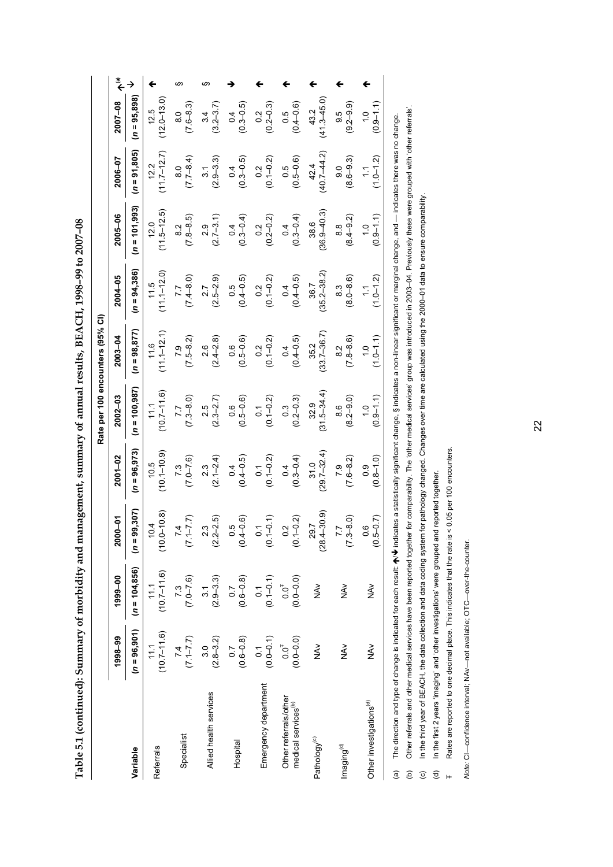**Table 5.1 (continued): Summary of morbidity and management, summary of annual results, BEACH, 1998–99 to 2007–08**  Table 5.1 (continued): Summary of morbidity and management, summary of annual results, BEACH, 1998-99 to 2007-08

|                                                                                                                                                                                                                   |                                  |                                   |                                       |                                 | Rate per 100 encounters (95% CI)  |                                |                              |                                 |                                  |                                   |                        |
|-------------------------------------------------------------------------------------------------------------------------------------------------------------------------------------------------------------------|----------------------------------|-----------------------------------|---------------------------------------|---------------------------------|-----------------------------------|--------------------------------|------------------------------|---------------------------------|----------------------------------|-----------------------------------|------------------------|
|                                                                                                                                                                                                                   | 1998-99                          | 1999-00                           | 2000-01                               | $2001 - 02$                     | $2002 - 03$                       | 2003-04                        | 2004-05                      | 2005-06                         | 2006-07                          | 2007-08                           | $\widetilde{\epsilon}$ |
| Variable                                                                                                                                                                                                          | $(n = 96, 901)$                  | $(n = 104, 856)$                  | $(n = 99, 307)$                       | $(n = 96, 973)$                 | $(n = 100, 987)$                  | $(n = 98, 877)$                | $(n = 94, 386)$              | $(n = 101, 993)$                | $(n = 91, 805)$                  | $(n = 95,898)$                    |                        |
| Referrals                                                                                                                                                                                                         | $(10.7 - 11.6)$<br>11.1          | $(10.7 - 11.6)$<br>11.1           | $(10.0 - 10.8)$<br>10.4               | $(10.1 - 10.9)$<br>10.5         | $(10.7 - 11.6)$<br>111            | $(11.1 - 12.1$<br>11.6         | $(11.1 - 12.0)$<br>11.5      | $(11.5 - 12.5)$<br>12.0         | $(11.7 - 12.7)$<br>12.2          | $(2.0 - 13.0)$<br>12.5            |                        |
| Specialist                                                                                                                                                                                                        | $(7.1 - 7.7)$<br>7.4             | $(7.0 - 7.6)$                     | $(7.1 - 7.7)$<br>4<br>r.              | $(7.0 - 7.6)$<br>7.3            | $(7.3 - 8.0)$<br>7.7              | $(7.5 - 8.2)$<br>79            | $(7.4 - 8.0)$<br>7.7         | $(7.8 - 8.5)$<br>$\frac{2}{8}$  | $(7.7 - 8.4)$<br>$\frac{0}{8}$   | $(7.6 - 8.3)$<br>$\frac{0}{8}$    | ഗ                      |
| Allied health services                                                                                                                                                                                            | $(2.8 - 3.2)$<br>3.0             | $(2.9 - 3.3)$<br>$\overline{3}$ . | $(2.2 - 2.5)$                         | $(2.1 - 2.4)$<br>2.3            | $(2.3 - 2.7)$<br>2.5              | $(2.4 - 2.8)$<br>2.6           | $(2.5 - 2.9)$<br>2.7         | $(2.7 - 3.1)$<br>2.9            | $(2.9 - 3.3)$<br>$\overline{3}$  | $(3.2 - 3.7)$<br>3.4              | ဖာ                     |
| Hospital                                                                                                                                                                                                          | $(0.6 - 0.8)$                    | $(0.6 - 0.8)$<br>$\overline{C}$   | $(0.5$<br>$(0.4 - 0.6)$               | $(0.4 - 0.5)$<br>$\overline{0}$ | $(0.5 - 0.6)$<br>0.6              | $(0.5 - 0.6)$<br>0.6           | $(0.4 - 0.5)$<br>0.5         | $(0.3 - 0.4)$<br>$\overline{0}$ | $(0.3 - 0.5)$<br>0.4             | $(0.3 - 0.5)$<br>0.4              |                        |
| Emergency department                                                                                                                                                                                              | $(0.0 - 0.1)$<br>$\overline{0}$  | $(0.1 - 0.1)$<br>$\overline{0}$ . | $(0.1 - 0.1)$                         | $(0.1 - 0.2)$<br>$\overline{0}$ | $(0.1 - 0.2)$<br>$\overline{0}$   | $(0.1 - 0.2)$<br>0.2           | $(0.1 - 0.2)$<br>0.2         | $(0.2 - 0.2)$<br>0.2            | $(0.1 - 0.2)$<br>0.2             | $(0.2 - 0.3)$<br>$0.\overline{2}$ |                        |
| Other referrals/other<br>medical services <sup>(b)</sup>                                                                                                                                                          | $(0.0 - 0.0)$<br>$0.0^{\dagger}$ | $(0.0 - 0.0)$<br>$0.0^{\dagger}$  | $0.2$<br>(0.1-0.2)                    | $(0.3 - 0.4)$<br>0.4            | $(0.2 - 0.3)$<br>$0.\overline{3}$ | $(0.4 - 0.5)$<br>0.4           | $(0.4 - 0.5)$<br>0.4         | $(0.3 - 0.4)$<br>0.4            | $(0.5 - 0.6)$<br>0.5             | $(0.4 - 0.6)$<br>0.5              |                        |
| Pathology <sup>(c)</sup>                                                                                                                                                                                          | ≧<br>NA∨                         | ≷<br>Z                            | $(28.4 - 30.9)$<br>29.7               | $(29.7 - 32.4)$<br>31.0         | $(31.5 - 34.4)$<br>32.9           | $(33.7 - 36.7)$<br>35.2        | $(35.2 - 38.2)$<br>36.7      | $(36.9 - 40.3)$<br>38.6         | $(40.7 - 44.2)$<br>42.4          | $(41.3 - 45.0)$<br>43.2           |                        |
| Imaging <sup>(d)</sup>                                                                                                                                                                                            | $\frac{5}{2}$                    | VA<br>Z                           | $(7.3 - 8.0)$<br>$\overline{ }$       | $(7.6 - 8.2)$<br>7.9            | $(8.2 - 9.0)$<br>8.6              | $(7.8 - 8.6)$<br>$\frac{2}{8}$ | $(8.0 - 8.6)$<br>8.3         | $(8.4 - 9.2)$<br>$\frac{8}{8}$  | $(8.6 - 9.3)$<br>9.0             | $(9.2 - 9.9)$<br>9.5              |                        |
| Other investigations <sup>(d)</sup>                                                                                                                                                                               | $rac{8}{5}$                      | ≷<br>Z                            | $(0.5 - 0.7)$<br><u>(၀</u><br>$\circ$ | $(0.8 - 1.0)$<br>$\frac{0}{2}$  | $(0.9 - 1.1)$<br>$\frac{0}{1}$    | $(1.0 - 1.1)$<br>$\frac{0}{1}$ | $(1.0 - 1.2)$<br>$\tilde{=}$ | $(0.9 - 1.1)$<br>$\frac{1}{2}$  | $(1.0 - 1.2)$<br>$\tilde{\cdot}$ | $(0.9 - 1.1)$<br>$\frac{0}{1}$    |                        |
| (a) The direction and twe of change is indicated for each result: ArV indicates a statistically significant change. § indicates a nor-linear significant or marginal change, and — indicates there was no change. |                                  |                                   |                                       |                                 |                                   |                                |                              |                                 |                                  |                                   |                        |

של (ב) חיים של היים של השומש השל המשלמים של היים של היים של השלמש השלמש של השלמים של היים של היים של היים של ה<br>(b) Other referrals and other medical services have been reported together for comparability. The 'other medic  $\bm{\psi}$  indicates a statistically significant change, § indicates a non-linear significant or marginal change, and — indicates there was no change. (a) The direction and type of change is indicated for each result:  $\spadesuit$ 

(b) Other referrals and other medical services have been reported together for comparability. The 'other medical services' group was introduced in 2003–04. Previously these were grouped with 'other referrals'. In the third year of BEACH, the data collection and data coding system for pathology changed. Changes over time are calculated using the 2000-01 data to ensure comparability. (c) In the third year of BEACH, the data collection and data coding system for pathology changed. Changes over time are calculated using the 2000–01 data to ensure comparability.

In the first 2 years 'imaging' and 'other investigations' were grouped and reported together. (d) In the first 2 years 'imaging' and 'other investigations' were grouped and reported together.

Rates are reported to one decimal place. This indicates that the rate is < 0.05 per 100 encounters. Rates are reported to one decimal place. This indicates that the rate is < 0.05 per 100 encounters.  $\widehat{c}$   $\widehat{c}$   $\rightarrow$ 

Note: CI-confidence interval; NAv-not available; OTC-over-the-counter. *Note:* CI—confidence interval; NAv—not available; OTC—over-the-counter.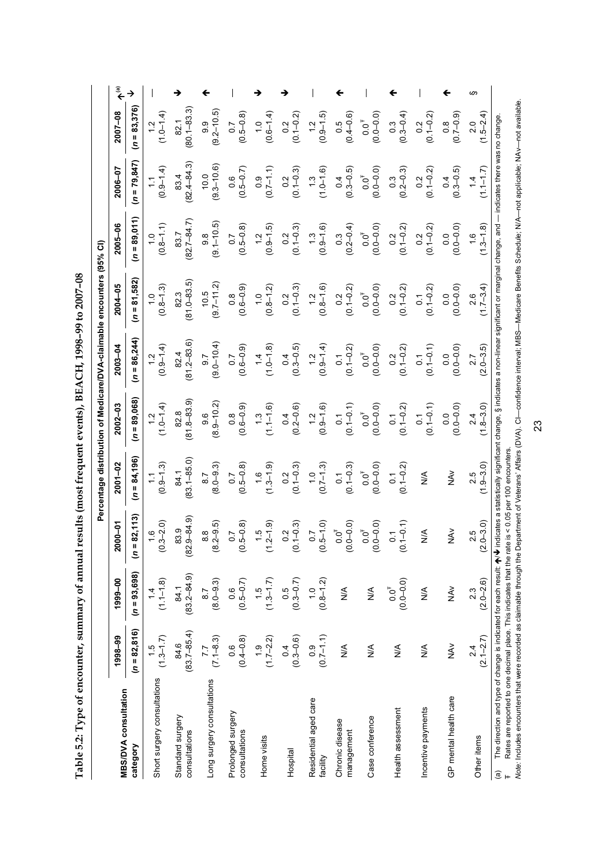| commodel control international<br>I                         |
|-------------------------------------------------------------|
|                                                             |
| <b>The Second Second Second Second Second</b>               |
| $-2$<br>-<br> <br> <br>l                                    |
| $\overline{\phantom{a}}$<br>I<br>$\Gamma_2$ $\Gamma_3$<br>I |

|                                                                                                                                                                                                                                                                                                                                                                                                                                                                                                                           |                        |                                                   |                                                           |                                   |                                   |                                  | Percentage distribution of Medicare/DVA-claimable encounters (95% CI) |                                                 |                                                   |                                   |                    |
|---------------------------------------------------------------------------------------------------------------------------------------------------------------------------------------------------------------------------------------------------------------------------------------------------------------------------------------------------------------------------------------------------------------------------------------------------------------------------------------------------------------------------|------------------------|---------------------------------------------------|-----------------------------------------------------------|-----------------------------------|-----------------------------------|----------------------------------|-----------------------------------------------------------------------|-------------------------------------------------|---------------------------------------------------|-----------------------------------|--------------------|
| <b>MBS/DVA consultation</b>                                                                                                                                                                                                                                                                                                                                                                                                                                                                                               | 1998-99                | 1999-00                                           | <b>PO-000</b><br>ম                                        | $2001 - 02$                       | 2002-03                           | $2003 - 04$                      | $2004 - 05$                                                           | 2005-06                                         | 2006-07                                           | 2007-08                           | $\hat{\mathbf{t}}$ |
| category                                                                                                                                                                                                                                                                                                                                                                                                                                                                                                                  | $(n = 82, 816)$        | $(n = 93,698)$                                    | $(n = 82, 113)$                                           | $(n = 84, 196)$                   | $(n = 89,068)$                    | $(n = 86, 244)$                  | $(n = 81,582)$                                                        | $(n = 89,011)$                                  | $(n = 79, 847)$                                   | $(n = 83, 376)$                   | →                  |
| Short surgery consultations                                                                                                                                                                                                                                                                                                                                                                                                                                                                                               | $(1.3-1.7)$            | $(1.1 - 1.8)$                                     | $\begin{array}{c} 1.6 \\ -3 - 2.0 \end{array}$<br>$\circ$ | $(0.9 - 1.3)$<br>$\tilde{\cdot}$  | $(1.0 - 1.4)$                     | $(0.9 - 1.4)$<br>$\frac{1}{2}$   | $(0.8 - 1.3)$                                                         | $(0.8 - 1.1)$                                   | $(0.9 - 1.4)$                                     | $(1.0-1.4)$                       |                    |
| Standard surgery<br>consultations                                                                                                                                                                                                                                                                                                                                                                                                                                                                                         | $846$<br>$(83.7-85.4)$ | $84.1$<br>$(83.2 - 84.9)$                         | $9 - 84.9$<br>83.9<br>(82)                                | $(83.1 - 85.0)$<br>84.1           | $81.8 - 83.9$<br>82.8             | $(81.2 - 83.6)$<br>82.4          | $(81.0 - 83.5)$<br>82.3                                               | $(82.7 - 84.7)$<br>83.7                         | $(82.4 - 84.3)$<br>83.4                           | $(80.1 - 83.3)$<br>82.1           |                    |
| Long surgery consultations                                                                                                                                                                                                                                                                                                                                                                                                                                                                                                | $7.7$<br>(7.1–8.3)     | $\begin{array}{c} 8.7 \\ (8.0 - 9.3) \end{array}$ | $\begin{array}{c} 8.8 \\ 2 - 9.5 \end{array}$<br>$\circ$  | $(8.0 - 9.3)$<br>$\overline{8.7}$ | $(8.9 - 10.2)$<br>9.6             | $(9.0 - 10.4)$<br>$\overline{6}$ | $(9.7 - 11.2)$<br>10.5                                                | $(9.1 - 10.5)$<br>$\frac{8}{9}$                 | $(9.3 - 10.6)$<br>10.0                            | $(9.2 - 10.5)$<br>9.9             |                    |
| Prolonged surgery<br>consultations                                                                                                                                                                                                                                                                                                                                                                                                                                                                                        | $(0.6$<br>(0.4–0.8)    | $(0.5 - 0.7)$                                     | $5 - 0.8$<br>$\overline{0}$ .<br>S                        | $(0.5 - 0.8)$<br>$\overline{0}$ . | $(0.6 - 0.9)$                     | $(0.6 - 0.9)$                    | $(0.6 - 0.9)$                                                         | $\begin{array}{c} 0.7 \\ 0.5 - 0.8 \end{array}$ | $(0.5 - 0.7)$                                     | $(0.5 - 0.8)$                     |                    |
| Home visits                                                                                                                                                                                                                                                                                                                                                                                                                                                                                                               | $(1.7-2.2)$            | $(1.3-1.7)$                                       | (6, 1.5)                                                  | $(1.3 - 1.9)$<br>$\frac{6}{1}$    | $(1.1 - 1.6)$                     | $(1.0-1.8)$                      | $(0.8-1.2)$                                                           | $(0.9 - 1.5)$                                   | $(0.7 - 1.1)$<br>0.9                              | $(0.6 - 1.4)$<br>$\frac{0}{1}$    |                    |
| Hospital                                                                                                                                                                                                                                                                                                                                                                                                                                                                                                                  | $(0.3 - 0.6)$          | $0.5$<br>(0.3–0.7)                                | $1 - 0.3$<br>$0.\overline{2}$<br>$\circ$                  | $0.2$<br>(0.1–0.3)                | $0.4$<br>(0.2–0.6)                | $0.4$<br>$(0.3 - 0.5)$           | $(0.1 - 0.3)$<br>0.2                                                  | $0.2$<br>(0.1-0.3)                              | $(0.1 - 0.3)$<br>$0.\overline{2}$                 | $(0.1 - 0.2)$<br>0.2              |                    |
| Residential aged care<br>facility                                                                                                                                                                                                                                                                                                                                                                                                                                                                                         | $(0.7-1.1)$            | $(0.8 - 1.2)$<br>$\frac{0}{1}$                    | $.5 - 1.0$<br>$\overline{0}$ .7<br>$\circ$                | $(0.7-1.3)$                       | $(0.9 - 1.6)$                     | $(0.9-1.4)$                      | $(0.8-1.6)$                                                           | $(0.9 - 1.6)$                                   | $(1.3$<br>$(1.0-1.6)$                             | $(0.9 - 1.5)$<br>$\frac{2}{1}$    |                    |
| Chronic disease<br>management                                                                                                                                                                                                                                                                                                                                                                                                                                                                                             | $\frac{1}{2}$          | $\frac{4}{5}$                                     | $0 - 0.0$<br>$0.0^{\rm \bar{f}}$<br>$\circ$               | $(0.1 - 0.3)$<br>$\overline{C}$   | $0.1$<br>(0.1-0.1)                | $(0.1 - 0.2)$<br>$\overline{0}$  | $(0.1 - 0.2)$<br>0.2                                                  | $0.3$<br>(0.2–0.4)                              | $0.4$<br>(0.3–0.5)                                | $(0.4 - 0.6)$<br>0.5              |                    |
| Case conference                                                                                                                                                                                                                                                                                                                                                                                                                                                                                                           | $\frac{4}{2}$          | $\frac{4}{2}$                                     | $0 - 0.0$<br>$0.0^{\dagger}$<br>$\circ$                   | $(0.0 - 0.0)$<br>$0.0^{\dagger}$  | $(0.0 - 0.0)$<br>$0.0^{\dagger}$  | $(0.0 - 0.0)$<br>$0.0^{\dagger}$ | $(0.0 - 0.0)$<br>$0.0^{\dagger}$                                      | $(0.0 - 0.0)$<br>$0.0^{\dagger}$                | $(0.0 - 0.0)$<br>$0.0^{\dagger}$                  | $(0.0 - 0.0)$<br>$0.0^{\dagger}$  |                    |
| Health assessment                                                                                                                                                                                                                                                                                                                                                                                                                                                                                                         | $\frac{4}{2}$          | $(0.0 - 0.0)$<br>$0.0^{\dagger}$                  | $.1 - 0.1$<br>$\tilde{\circ}$<br>$\circ$                  | $0.1$<br>$(0.1 - 0.2)$            | $0.1$<br>(0.1-0.2)                | $0.2$<br>(0.1–0.2)               | $0.2$<br>(0.1–0.2)                                                    | $0.2$<br>(0.1-0.2)                              | $\begin{array}{c} 0.3 \\ (0.2 - 0.3) \end{array}$ | $(0.3 - 0.4)$                     |                    |
| Incentive payments                                                                                                                                                                                                                                                                                                                                                                                                                                                                                                        | $\frac{4}{2}$          | $\stackrel{\leq}{\geq}$                           | $\frac{4}{5}$                                             | $\frac{4}{2}$                     | $0.1$<br>(0.1-0.1)                | $(0.1 - 0.1)$<br>$\overline{0}$  | $(0.1 - 0.2)$<br>$\overline{0}$ .                                     | $(0.1 - 0.2)$<br>0.2                            | $(0.1 - 0.2)$<br>0.2                              | $(0.1 - 0.2)$<br>0.2              |                    |
| GP mental health care                                                                                                                                                                                                                                                                                                                                                                                                                                                                                                     | NAV                    | $\frac{2}{5}$                                     | $\frac{2}{2}$                                             | NA <sub>V</sub>                   | $(0.0 - 0.0)$<br>$\overline{0}$ . | $(0.0 - 0.0)$<br>$\overline{0}$  | $(0.0 - 0.0)$<br>0.0                                                  | $(0.0 - 0.0)$<br>$\overline{0}$ .0              | $(0.3 - 0.5)$<br>0.4                              | $(0.7 - 0.9)$<br>$0.\overline{8}$ |                    |
| Other items                                                                                                                                                                                                                                                                                                                                                                                                                                                                                                               | $2.4$<br>(2.1–2.7)     | $(2.0-2.6)$                                       | $0 - 3.0$<br>2.5<br>$\overline{\mathcal{C}}$              | $(1.9 - 3.0)$                     | $(1, 8 - 3.0)$                    | $(2.0 - 3.5)$<br>2.7             | $(1.7-3.4)$                                                           | $(1.3 - 1.8)$<br>$\frac{6}{1}$                  | $(1.1 - 1.7)$<br>$\frac{1}{4}$                    | $(1.5 - 2.4)$<br>2.0              | ဖာ                 |
| Wote: Includes encounters that were recorded as claimable through the Department of Veterans' Affairs (DVA). Cl—confidence interval; MBS—Medicare Benefits Schedule; NIA—not applicable; NAv—not available.<br>The direction and type of change is indicated for each result: $\bigwedge \bigvee$ indicates a statistically significant change, § indicates a non-linear significant or marginal change, and<br>Rates are reported to one decimal place. This indicates that the rate is < 0.05<br>$\widehat{\mathbf{e}}$ |                        |                                                   |                                                           | 100 encounters<br>per             |                                   |                                  |                                                                       |                                                 | indicates there was no change.                    |                                   |                    |

23